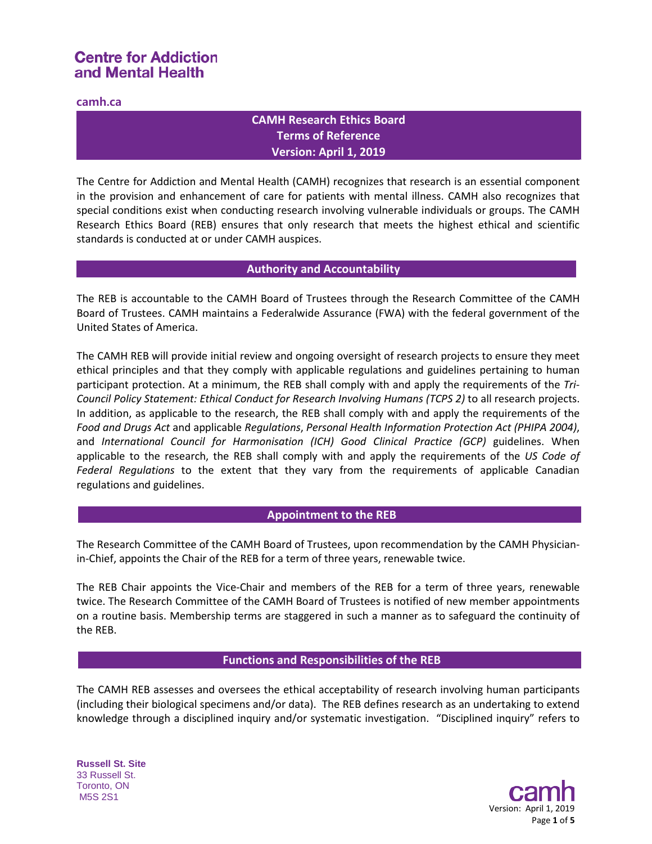## **camh.ca**

## **CAMH Research Ethics Board Terms of Reference Version: April 1, 2019**

The Centre for Addiction and Mental Health (CAMH) recognizes that research is an essential component in the provision and enhancement of care for patients with mental illness. CAMH also recognizes that special conditions exist when conducting research involving vulnerable individuals or groups. The CAMH Research Ethics Board (REB) ensures that only research that meets the highest ethical and scientific standards is conducted at or under CAMH auspices.

## **Authority and Accountability**

The REB is accountable to the CAMH Board of Trustees through the Research Committee of the CAMH Board of Trustees. CAMH maintains a Federalwide Assurance (FWA) with the federal government of the United States of America.

The CAMH REB will provide initial review and ongoing oversight of research projects to ensure they meet ethical principles and that they comply with applicable regulations and guidelines pertaining to human participant protection. At a minimum, the REB shall comply with and apply the requirements of the *Tri-Council Policy Statement: Ethical Conduct for Research Involving Humans (TCPS 2)* to all research projects. In addition, as applicable to the research, the REB shall comply with and apply the requirements of the *Food and Drugs Act* and applicable *Regulations*, *Personal Health Information Protection Act (PHIPA 2004)*, and *International Council for Harmonisation (ICH) Good Clinical Practice (GCP)* guidelines. When applicable to the research, the REB shall comply with and apply the requirements of the *US Code of Federal Regulations* to the extent that they vary from the requirements of applicable Canadian regulations and guidelines.

## **Appointment to the REB**

The Research Committee of the CAMH Board of Trustees, upon recommendation by the CAMH Physicianin-Chief, appoints the Chair of the REB for a term of three years, renewable twice.

The REB Chair appoints the Vice-Chair and members of the REB for a term of three years, renewable twice. The Research Committee of the CAMH Board of Trustees is notified of new member appointments on a routine basis. Membership terms are staggered in such a manner as to safeguard the continuity of the REB.

## **Functions and Responsibilities of the REB**

The CAMH REB assesses and oversees the ethical acceptability of research involving human participants (including their biological specimens and/or data). The REB defines research as an undertaking to extend knowledge through a disciplined inquiry and/or systematic investigation. "Disciplined inquiry" refers to

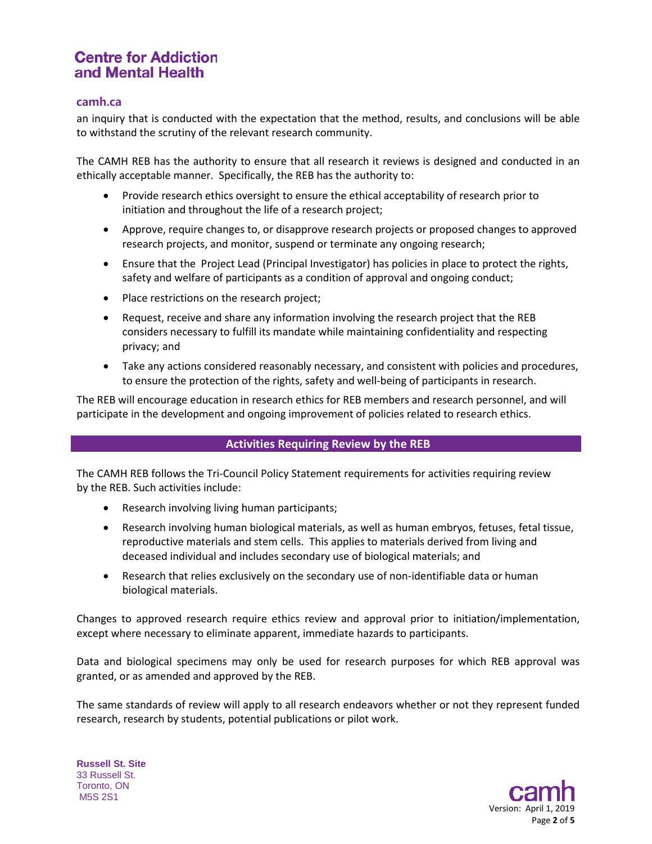## **camh.ca**

an inquiry that is conducted with the expectation that the method, results, and conclusions will be able to withstand the scrutiny of the relevant research community.

The CAMH REB has the authority to ensure that all research it reviews is designed and conducted in an ethically acceptable manner. Specifically, the REB has the authority to:

- Provide research ethics oversight to ensure the ethical acceptability of research prior to initiation and throughout the life of a research project;
- Approve, require changes to, or disapprove research projects or proposed changes to approved research projects, and monitor, suspend or terminate any ongoing research;
- Ensure that the Project Lead (Principal Investigator) has policies in place to protect the rights, safety and welfare of participants as a condition of approval and ongoing conduct;
- Place restrictions on the research project;
- Request, receive and share any information involving the research project that the REB considers necessary to fulfill its mandate while maintaining confidentiality and respecting privacy; and
- Take any actions considered reasonably necessary, and consistent with policies and procedures, to ensure the protection of the rights, safety and well-being of participants in research.

The REB will encourage education in research ethics for REB members and research personnel, and will participate in the development and ongoing improvement of policies related to research ethics.

## **Activities Requiring Review by the REB**

The CAMH REB follows the Tri-Council Policy Statement requirements for activities requiring review by the REB. Such activities include:

- Research involving living human participants;
- Research involving human biological materials, as well as human embryos, fetuses, fetal tissue, reproductive materials and stem cells. This applies to materials derived from living and deceased individual and includes secondary use of biological materials; and
- Research that relies exclusively on the secondary use of non-identifiable data or human biological materials.

Changes to approved research require ethics review and approval prior to initiation/implementation, except where necessary to eliminate apparent, immediate hazards to participants.

Data and biological specimens may only be used for research purposes for which REB approval was granted, or as amended and approved by the REB.

The same standards of review will apply to all research endeavors whether or not they represent funded research, research by students, potential publications or pilot work.

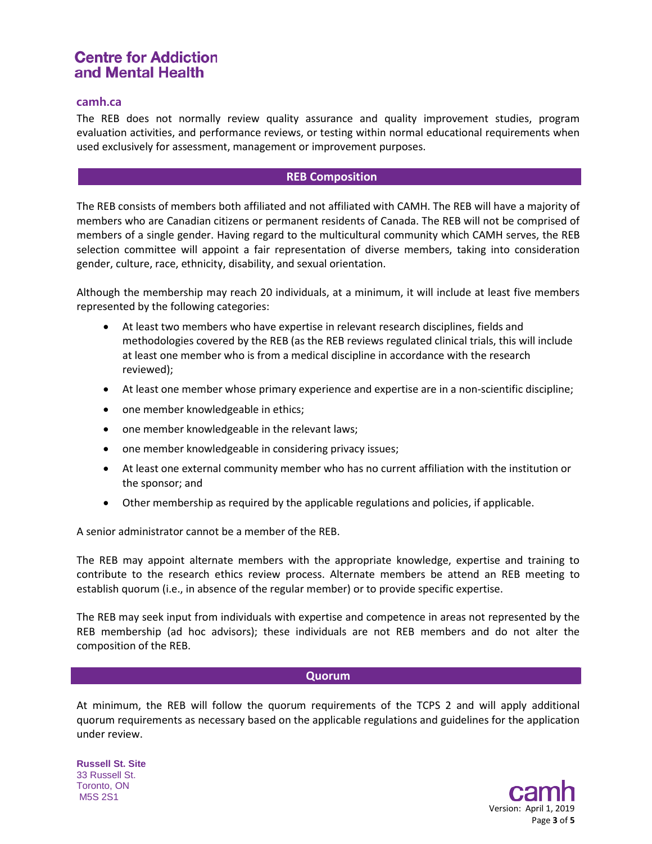### **camh.ca**

The REB does not normally review quality assurance and quality improvement studies, program evaluation activities, and performance reviews, or testing within normal educational requirements when used exclusively for assessment, management or improvement purposes.

### **REB Composition**

The REB consists of members both affiliated and not affiliated with CAMH. The REB will have a majority of members who are Canadian citizens or permanent residents of Canada. The REB will not be comprised of members of a single gender. Having regard to the multicultural community which CAMH serves, the REB selection committee will appoint a fair representation of diverse members, taking into consideration gender, culture, race, ethnicity, disability, and sexual orientation.

Although the membership may reach 20 individuals, at a minimum, it will include at least five members represented by the following categories:

- At least two members who have expertise in relevant research disciplines, fields and methodologies covered by the REB (as the REB reviews regulated clinical trials, this will include at least one member who is from a medical discipline in accordance with the research reviewed);
- At least one member whose primary experience and expertise are in a non-scientific discipline;
- one member knowledgeable in ethics;
- one member knowledgeable in the relevant laws;
- one member knowledgeable in considering privacy issues;
- At least one external community member who has no current affiliation with the institution or the sponsor; and
- Other membership as required by the applicable regulations and policies, if applicable.

A senior administrator cannot be a member of the REB.

The REB may appoint alternate members with the appropriate knowledge, expertise and training to contribute to the research ethics review process. Alternate members be attend an REB meeting to establish quorum (i.e., in absence of the regular member) or to provide specific expertise.

The REB may seek input from individuals with expertise and competence in areas not represented by the REB membership (ad hoc advisors); these individuals are not REB members and do not alter the composition of the REB.

#### **Quorum**

At minimum, the REB will follow the quorum requirements of the TCPS 2 and will apply additional quorum requirements as necessary based on the applicable regulations and guidelines for the application under review.

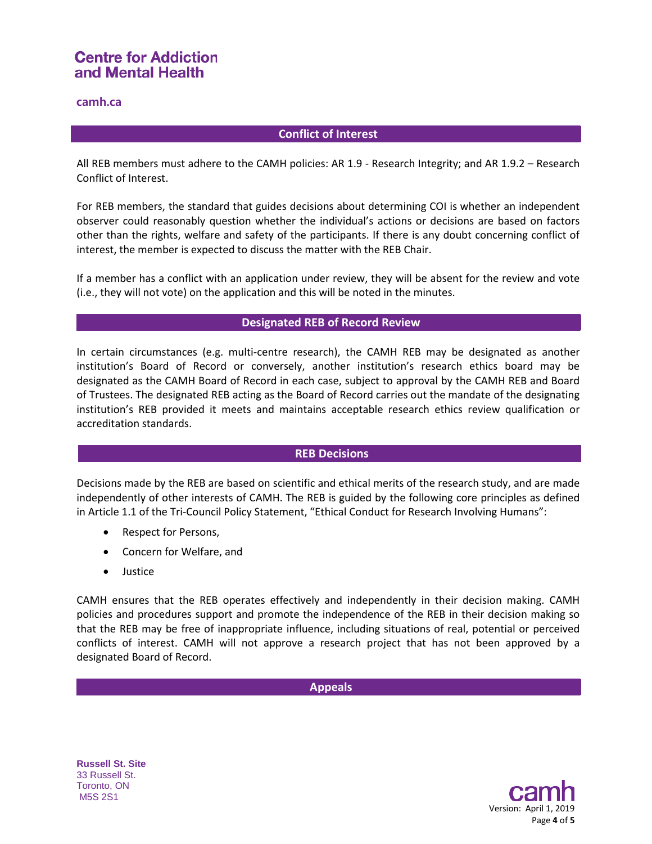## **camh.ca**

## **Conflict of Interest**

All REB members must adhere to the CAMH policies: AR 1.9 - Research Integrity; and AR 1.9.2 – Research Conflict of Interest.

For REB members, the standard that guides decisions about determining COI is whether an independent observer could reasonably question whether the individual's actions or decisions are based on factors other than the rights, welfare and safety of the participants. If there is any doubt concerning conflict of interest, the member is expected to discuss the matter with the REB Chair.

If a member has a conflict with an application under review, they will be absent for the review and vote (i.e., they will not vote) on the application and this will be noted in the minutes.

## **Designated REB of Record Review**

In certain circumstances (e.g. multi-centre research), the CAMH REB may be designated as another institution's Board of Record or conversely, another institution's research ethics board may be designated as the CAMH Board of Record in each case, subject to approval by the CAMH REB and Board of Trustees. The designated REB acting as the Board of Record carries out the mandate of the designating institution's REB provided it meets and maintains acceptable research ethics review qualification or accreditation standards.

## **REB Decisions**

Decisions made by the REB are based on scientific and ethical merits of the research study, and are made independently of other interests of CAMH. The REB is guided by the following core principles as defined in Article 1.1 of the Tri-Council Policy Statement, "Ethical Conduct for Research Involving Humans":

- Respect for Persons,
- Concern for Welfare, and
- Justice

CAMH ensures that the REB operates effectively and independently in their decision making. CAMH policies and procedures support and promote the independence of the REB in their decision making so that the REB may be free of inappropriate influence, including situations of real, potential or perceived conflicts of interest. CAMH will not approve a research project that has not been approved by a designated Board of Record.

**Appeals**